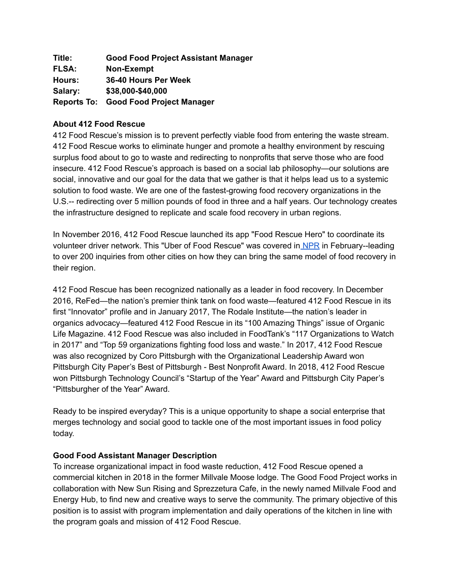| Title:       | <b>Good Food Project Assistant Manager</b>   |
|--------------|----------------------------------------------|
| <b>FLSA:</b> | Non-Exempt                                   |
| Hours:       | 36-40 Hours Per Week                         |
| Salary:      | \$38,000-\$40,000                            |
|              | <b>Reports To: Good Food Project Manager</b> |

## **About 412 Food Rescue**

412 Food Rescue's mission is to prevent perfectly viable food from entering the waste stream. 412 Food Rescue works to eliminate hunger and promote a healthy environment by rescuing surplus food about to go to waste and redirecting to nonprofits that serve those who are food insecure. 412 Food Rescue's approach is based on a social lab philosophy—our solutions are social, innovative and our goal for the data that we gather is that it helps lead us to a systemic solution to food waste. We are one of the fastest-growing food recovery organizations in the U.S.-- redirecting over 5 million pounds of food in three and a half years. Our technology creates the infrastructure designed to replicate and scale food recovery in urban regions.

In November 2016, 412 Food Rescue launched its app "Food Rescue Hero" to coordinate its volunteer driver network. This "Uber of Food Rescue" was covered in [NPR](http://www.wbur.org/hereandnow/2017/02/03/pittsburgh-group-food-recovery) in February--leading to over 200 inquiries from other cities on how they can bring the same model of food recovery in their region.

412 Food Rescue has been recognized nationally as a leader in food recovery. In December 2016, ReFed—the nation's premier think tank on food waste—featured 412 Food Rescue in its first "Innovator" profile and in January 2017, The Rodale Institute—the nation's leader in organics advocacy—featured 412 Food Rescue in its "100 Amazing Things" issue of Organic Life Magazine. 412 Food Rescue was also included in FoodTank's "117 Organizations to Watch in 2017" and "Top 59 organizations fighting food loss and waste." In 2017, 412 Food Rescue was also recognized by Coro Pittsburgh with the Organizational Leadership Award won Pittsburgh City Paper's Best of Pittsburgh - Best Nonprofit Award. In 2018, 412 Food Rescue won Pittsburgh Technology Council's "Startup of the Year" Award and Pittsburgh City Paper's "Pittsburgher of the Year" Award.

Ready to be inspired everyday? This is a unique opportunity to shape a social enterprise that merges technology and social good to tackle one of the most important issues in food policy today.

#### **Good Food Assistant Manager Description**

To increase organizational impact in food waste reduction, 412 Food Rescue opened a commercial kitchen in 2018 in the former Millvale Moose lodge. The Good Food Project works in collaboration with New Sun Rising and Sprezzetura Cafe, in the newly named Millvale Food and Energy Hub, to find new and creative ways to serve the community. The primary objective of this position is to assist with program implementation and daily operations of the kitchen in line with the program goals and mission of 412 Food Rescue.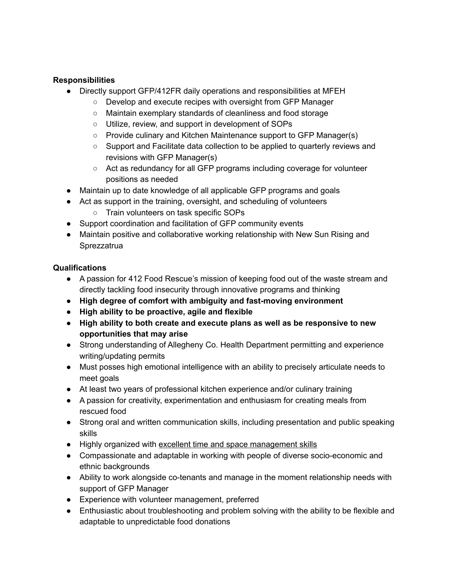# **Responsibilities**

- Directly support GFP/412FR daily operations and responsibilities at MFEH
	- Develop and execute recipes with oversight from GFP Manager
	- Maintain exemplary standards of cleanliness and food storage
	- Utilize, review, and support in development of SOPs
	- Provide culinary and Kitchen Maintenance support to GFP Manager(s)
	- Support and Facilitate data collection to be applied to quarterly reviews and revisions with GFP Manager(s)
	- Act as redundancy for all GFP programs including coverage for volunteer positions as needed
- Maintain up to date knowledge of all applicable GFP programs and goals
- Act as support in the training, oversight, and scheduling of volunteers
	- Train volunteers on task specific SOPs
- Support coordination and facilitation of GFP community events
- Maintain positive and collaborative working relationship with New Sun Rising and **Sprezzatrua**

#### **Qualifications**

- A passion for 412 Food Rescue's mission of keeping food out of the waste stream and directly tackling food insecurity through innovative programs and thinking
- **● High degree of comfort with ambiguity and fast-moving environment**
- **● High ability to be proactive, agile and flexible**
- **● High ability to both create and execute plans as well as be responsive to new opportunities that may arise**
- Strong understanding of Allegheny Co. Health Department permitting and experience writing/updating permits
- Must posses high emotional intelligence with an ability to precisely articulate needs to meet goals
- At least two years of professional kitchen experience and/or culinary training
- A passion for creativity, experimentation and enthusiasm for creating meals from rescued food
- Strong oral and written communication skills, including presentation and public speaking skills
- Highly organized with excellent time and space management skills
- Compassionate and adaptable in working with people of diverse socio-economic and ethnic backgrounds
- Ability to work alongside co-tenants and manage in the moment relationship needs with support of GFP Manager
- Experience with volunteer management, preferred
- Enthusiastic about troubleshooting and problem solving with the ability to be flexible and adaptable to unpredictable food donations